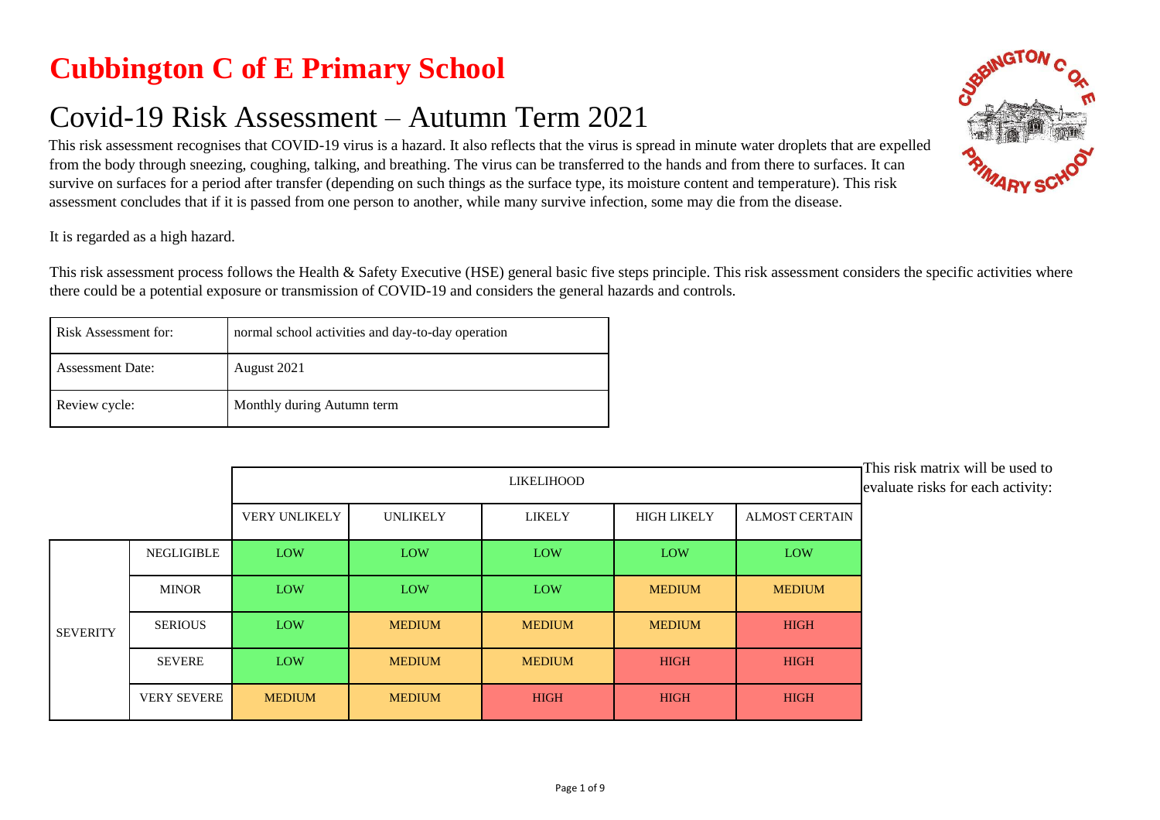## **Cubbington C of E Primary School**

## Covid-19 Risk Assessment – Autumn Term 2021

This risk assessment recognises that COVID-19 virus is a hazard. It also reflects that the virus is spread in minute water droplets that are expelled from the body through sneezing, coughing, talking, and breathing. The virus can be transferred to the hands and from there to surfaces. It can survive on surfaces for a period after transfer (depending on such things as the surface type, its moisture content and temperature). This risk assessment concludes that if it is passed from one person to another, while many survive infection, some may die from the disease.

It is regarded as a high hazard.

This risk assessment process follows the Health & Safety Executive (HSE) general basic five steps principle. This risk assessment considers the specific activities where there could be a potential exposure or transmission of COVID-19 and considers the general hazards and controls.

| Risk Assessment for:    | normal school activities and day-to-day operation |
|-------------------------|---------------------------------------------------|
| <b>Assessment Date:</b> | August 2021                                       |
| Review cycle:           | Monthly during Autumn term                        |

|                 |                    | LIKELIHOOD    |                 |               |                    | This risk matrix will be used to<br>evaluate risks for each activity: |  |
|-----------------|--------------------|---------------|-----------------|---------------|--------------------|-----------------------------------------------------------------------|--|
|                 |                    | VERY UNLIKELY | <b>UNLIKELY</b> | LIKELY        | <b>HIGH LIKELY</b> | <b>ALMOST CERTAIN</b>                                                 |  |
|                 | NEGLIGIBLE         | <b>LOW</b>    | <b>LOW</b>      | <b>LOW</b>    | <b>LOW</b>         | <b>LOW</b>                                                            |  |
|                 | <b>MINOR</b>       | <b>LOW</b>    | <b>LOW</b>      | <b>LOW</b>    | <b>MEDIUM</b>      | <b>MEDIUM</b>                                                         |  |
| <b>SEVERITY</b> | <b>SERIOUS</b>     | <b>LOW</b>    | <b>MEDIUM</b>   | <b>MEDIUM</b> | <b>MEDIUM</b>      | <b>HIGH</b>                                                           |  |
|                 | <b>SEVERE</b>      | LOW           | <b>MEDIUM</b>   | <b>MEDIUM</b> | <b>HIGH</b>        | <b>HIGH</b>                                                           |  |
|                 | <b>VERY SEVERE</b> | <b>MEDIUM</b> | <b>MEDIUM</b>   | <b>HIGH</b>   | <b>HIGH</b>        | <b>HIGH</b>                                                           |  |

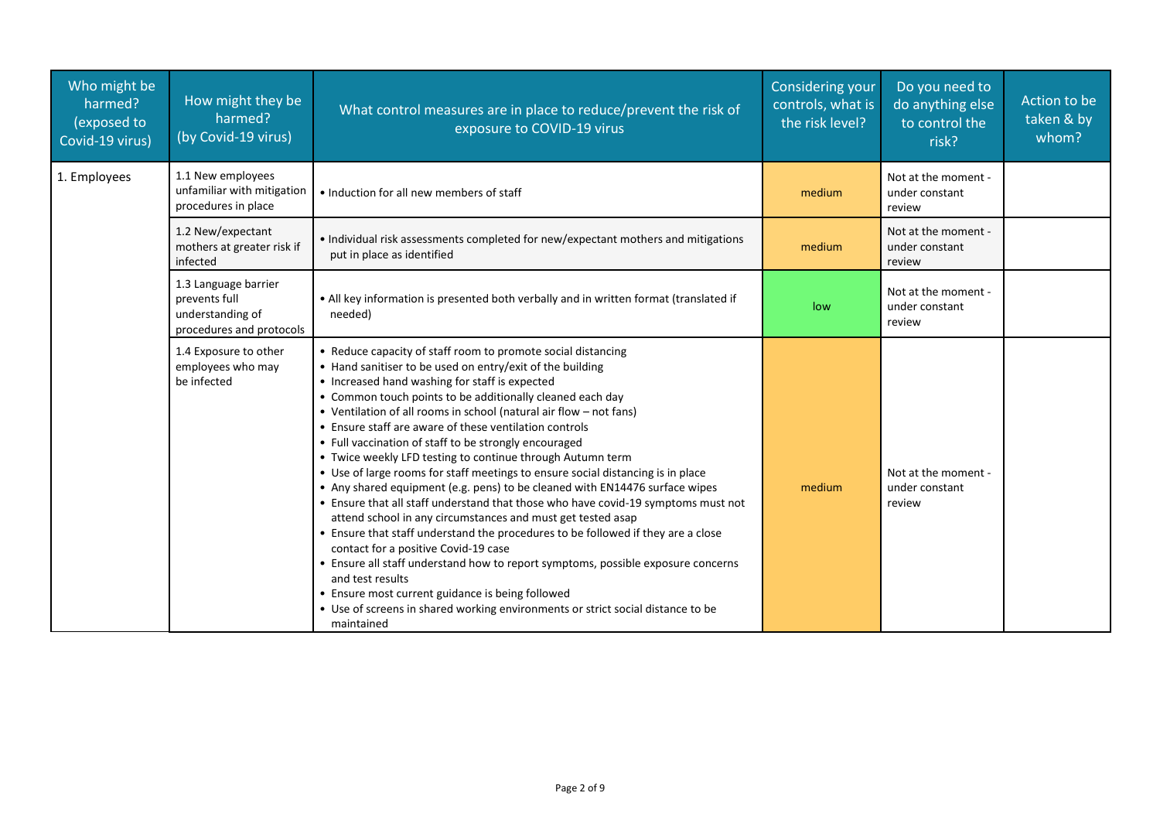| Who might be<br>harmed?<br>(exposed to<br>Covid-19 virus) | How might they be<br>harmed?<br>(by Covid-19 virus)                                   | What control measures are in place to reduce/prevent the risk of<br>exposure to COVID-19 virus                                                                                                                                                                                                                                                                                                                                                                                                                                                                                                                                                                                                                                                                                                                                                                                                                                                                                                                                                                                                                                                                                                                 | <b>Considering your</b><br>controls, what is<br>the risk level? | Do you need to<br>do anything else<br>to control the<br>risk? | Action to be<br>taken & by<br>whom? |
|-----------------------------------------------------------|---------------------------------------------------------------------------------------|----------------------------------------------------------------------------------------------------------------------------------------------------------------------------------------------------------------------------------------------------------------------------------------------------------------------------------------------------------------------------------------------------------------------------------------------------------------------------------------------------------------------------------------------------------------------------------------------------------------------------------------------------------------------------------------------------------------------------------------------------------------------------------------------------------------------------------------------------------------------------------------------------------------------------------------------------------------------------------------------------------------------------------------------------------------------------------------------------------------------------------------------------------------------------------------------------------------|-----------------------------------------------------------------|---------------------------------------------------------------|-------------------------------------|
| 1. Employees                                              | 1.1 New employees<br>unfamiliar with mitigation<br>procedures in place                | • Induction for all new members of staff                                                                                                                                                                                                                                                                                                                                                                                                                                                                                                                                                                                                                                                                                                                                                                                                                                                                                                                                                                                                                                                                                                                                                                       | medium                                                          | Not at the moment -<br>under constant<br>review               |                                     |
|                                                           | 1.2 New/expectant<br>mothers at greater risk if<br>infected                           | • Individual risk assessments completed for new/expectant mothers and mitigations<br>put in place as identified                                                                                                                                                                                                                                                                                                                                                                                                                                                                                                                                                                                                                                                                                                                                                                                                                                                                                                                                                                                                                                                                                                | medium                                                          | Not at the moment -<br>under constant<br>review               |                                     |
|                                                           | 1.3 Language barrier<br>prevents full<br>understanding of<br>procedures and protocols | • All key information is presented both verbally and in written format (translated if<br>needed)                                                                                                                                                                                                                                                                                                                                                                                                                                                                                                                                                                                                                                                                                                                                                                                                                                                                                                                                                                                                                                                                                                               | low                                                             | Not at the moment -<br>under constant<br>review               |                                     |
|                                                           | 1.4 Exposure to other<br>employees who may<br>be infected                             | • Reduce capacity of staff room to promote social distancing<br>• Hand sanitiser to be used on entry/exit of the building<br>• Increased hand washing for staff is expected<br>• Common touch points to be additionally cleaned each day<br>• Ventilation of all rooms in school (natural air flow - not fans)<br>• Ensure staff are aware of these ventilation controls<br>• Full vaccination of staff to be strongly encouraged<br>• Twice weekly LFD testing to continue through Autumn term<br>• Use of large rooms for staff meetings to ensure social distancing is in place<br>• Any shared equipment (e.g. pens) to be cleaned with EN14476 surface wipes<br>• Ensure that all staff understand that those who have covid-19 symptoms must not<br>attend school in any circumstances and must get tested asap<br>• Ensure that staff understand the procedures to be followed if they are a close<br>contact for a positive Covid-19 case<br>• Ensure all staff understand how to report symptoms, possible exposure concerns<br>and test results<br>• Ensure most current guidance is being followed<br>• Use of screens in shared working environments or strict social distance to be<br>maintained | medium                                                          | Not at the moment -<br>under constant<br>review               |                                     |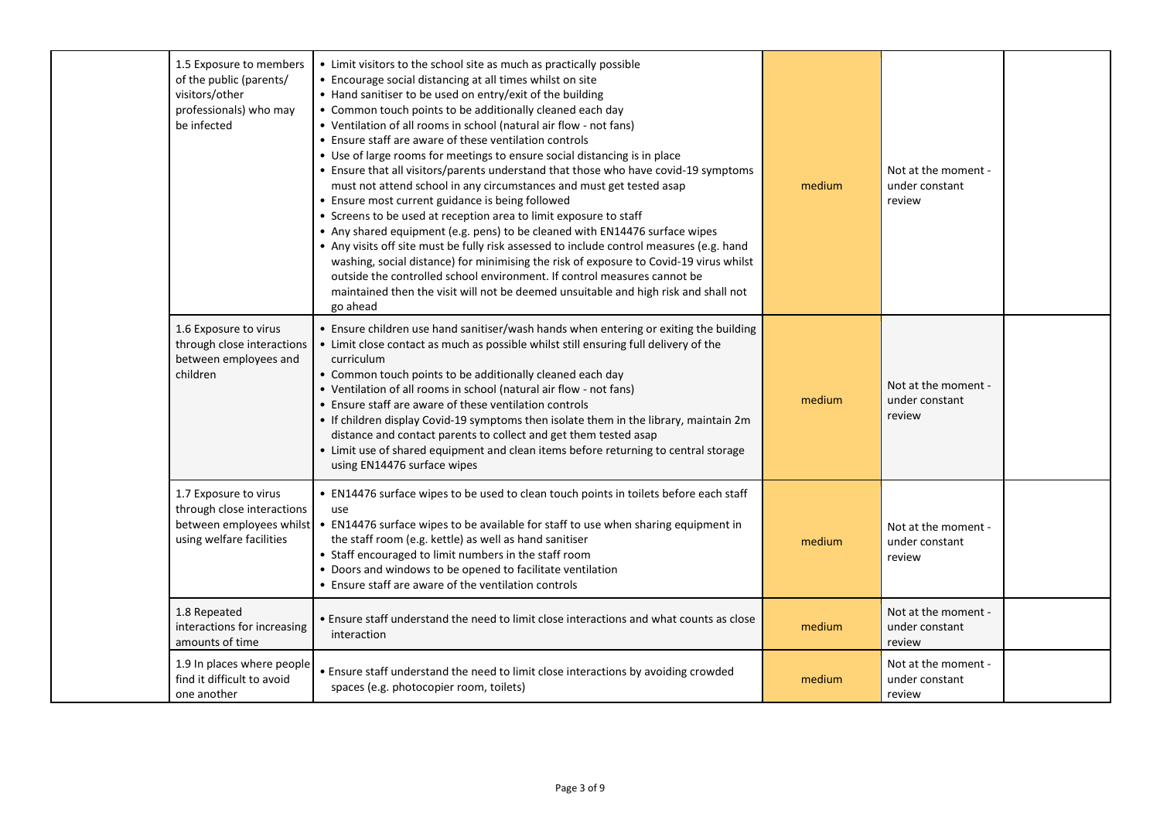| 1.5 Exposure to members<br>of the public (parents/<br>visitors/other<br>professionals) who may<br>be infected | • Limit visitors to the school site as much as practically possible<br>• Encourage social distancing at all times whilst on site<br>• Hand sanitiser to be used on entry/exit of the building<br>• Common touch points to be additionally cleaned each day<br>• Ventilation of all rooms in school (natural air flow - not fans)<br>• Ensure staff are aware of these ventilation controls<br>• Use of large rooms for meetings to ensure social distancing is in place<br>• Ensure that all visitors/parents understand that those who have covid-19 symptoms<br>must not attend school in any circumstances and must get tested asap<br>• Ensure most current guidance is being followed<br>• Screens to be used at reception area to limit exposure to staff<br>• Any shared equipment (e.g. pens) to be cleaned with EN14476 surface wipes<br>• Any visits off site must be fully risk assessed to include control measures (e.g. hand<br>washing, social distance) for minimising the risk of exposure to Covid-19 virus whilst<br>outside the controlled school environment. If control measures cannot be<br>maintained then the visit will not be deemed unsuitable and high risk and shall not<br>go ahead | medium | Not at the moment -<br>under constant<br>review |  |
|---------------------------------------------------------------------------------------------------------------|---------------------------------------------------------------------------------------------------------------------------------------------------------------------------------------------------------------------------------------------------------------------------------------------------------------------------------------------------------------------------------------------------------------------------------------------------------------------------------------------------------------------------------------------------------------------------------------------------------------------------------------------------------------------------------------------------------------------------------------------------------------------------------------------------------------------------------------------------------------------------------------------------------------------------------------------------------------------------------------------------------------------------------------------------------------------------------------------------------------------------------------------------------------------------------------------------------------------|--------|-------------------------------------------------|--|
| 1.6 Exposure to virus<br>through close interactions<br>between employees and<br>children                      | • Ensure children use hand sanitiser/wash hands when entering or exiting the building<br>• Limit close contact as much as possible whilst still ensuring full delivery of the<br>curriculum<br>• Common touch points to be additionally cleaned each day<br>• Ventilation of all rooms in school (natural air flow - not fans)<br>• Ensure staff are aware of these ventilation controls<br>• If children display Covid-19 symptoms then isolate them in the library, maintain 2m<br>distance and contact parents to collect and get them tested asap<br>• Limit use of shared equipment and clean items before returning to central storage<br>using EN14476 surface wipes                                                                                                                                                                                                                                                                                                                                                                                                                                                                                                                                         | medium | Not at the moment -<br>under constant<br>review |  |
| 1.7 Exposure to virus<br>through close interactions<br>between employees whilst<br>using welfare facilities   | • EN14476 surface wipes to be used to clean touch points in toilets before each staff<br>use<br>• EN14476 surface wipes to be available for staff to use when sharing equipment in<br>the staff room (e.g. kettle) as well as hand sanitiser<br>• Staff encouraged to limit numbers in the staff room<br>• Doors and windows to be opened to facilitate ventilation<br>• Ensure staff are aware of the ventilation controls                                                                                                                                                                                                                                                                                                                                                                                                                                                                                                                                                                                                                                                                                                                                                                                         | medium | Not at the moment -<br>under constant<br>review |  |
| 1.8 Repeated<br>interactions for increasing<br>amounts of time                                                | • Ensure staff understand the need to limit close interactions and what counts as close<br>interaction                                                                                                                                                                                                                                                                                                                                                                                                                                                                                                                                                                                                                                                                                                                                                                                                                                                                                                                                                                                                                                                                                                              | medium | Not at the moment -<br>under constant<br>review |  |
| 1.9 In places where people<br>find it difficult to avoid<br>one another                                       | • Ensure staff understand the need to limit close interactions by avoiding crowded<br>spaces (e.g. photocopier room, toilets)                                                                                                                                                                                                                                                                                                                                                                                                                                                                                                                                                                                                                                                                                                                                                                                                                                                                                                                                                                                                                                                                                       | medium | Not at the moment -<br>under constant<br>review |  |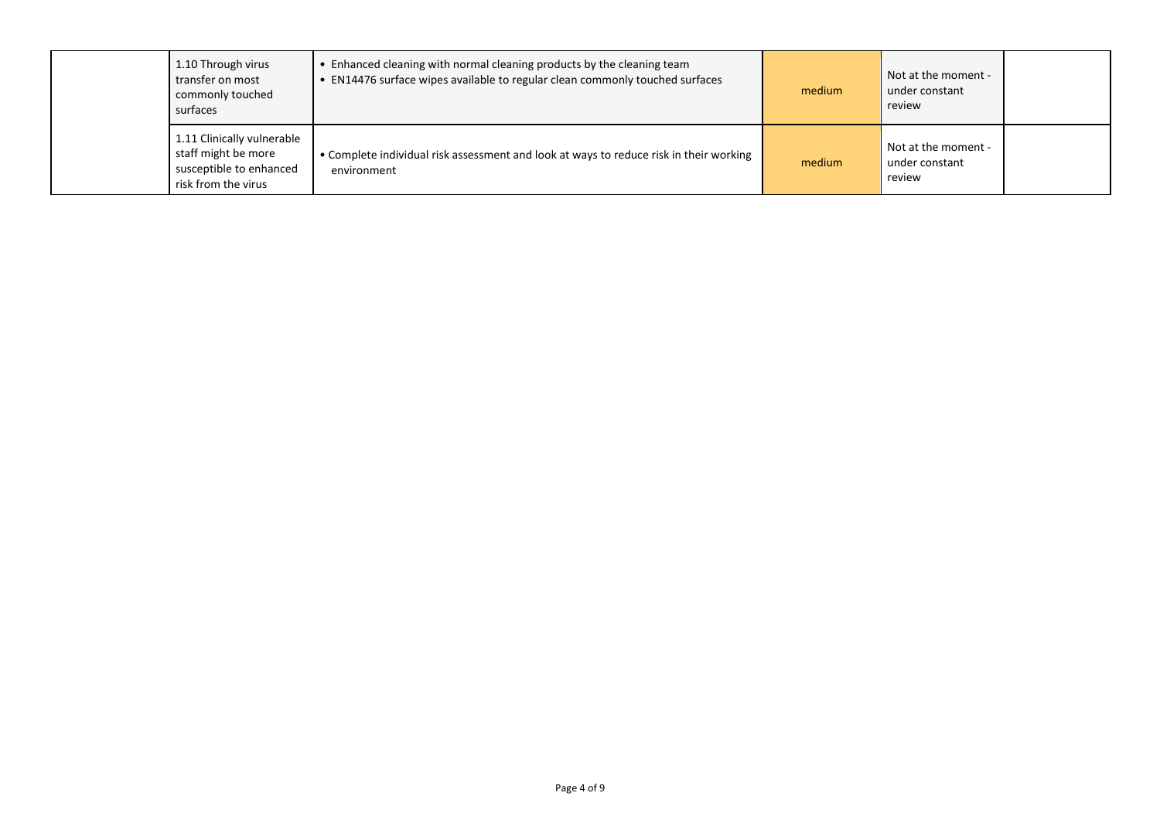| 1.10 Through virus<br>transfer on most<br>commonly touched<br>surfaces                              | • Enhanced cleaning with normal cleaning products by the cleaning team<br>• EN14476 surface wipes available to regular clean commonly touched surfaces | medium | Not at the moment -<br>under constant<br>review |
|-----------------------------------------------------------------------------------------------------|--------------------------------------------------------------------------------------------------------------------------------------------------------|--------|-------------------------------------------------|
| 1.11 Clinically vulnerable<br>staff might be more<br>susceptible to enhanced<br>risk from the virus | • Complete individual risk assessment and look at ways to reduce risk in their working<br>environment                                                  | medium | Not at the moment -<br>under constant<br>review |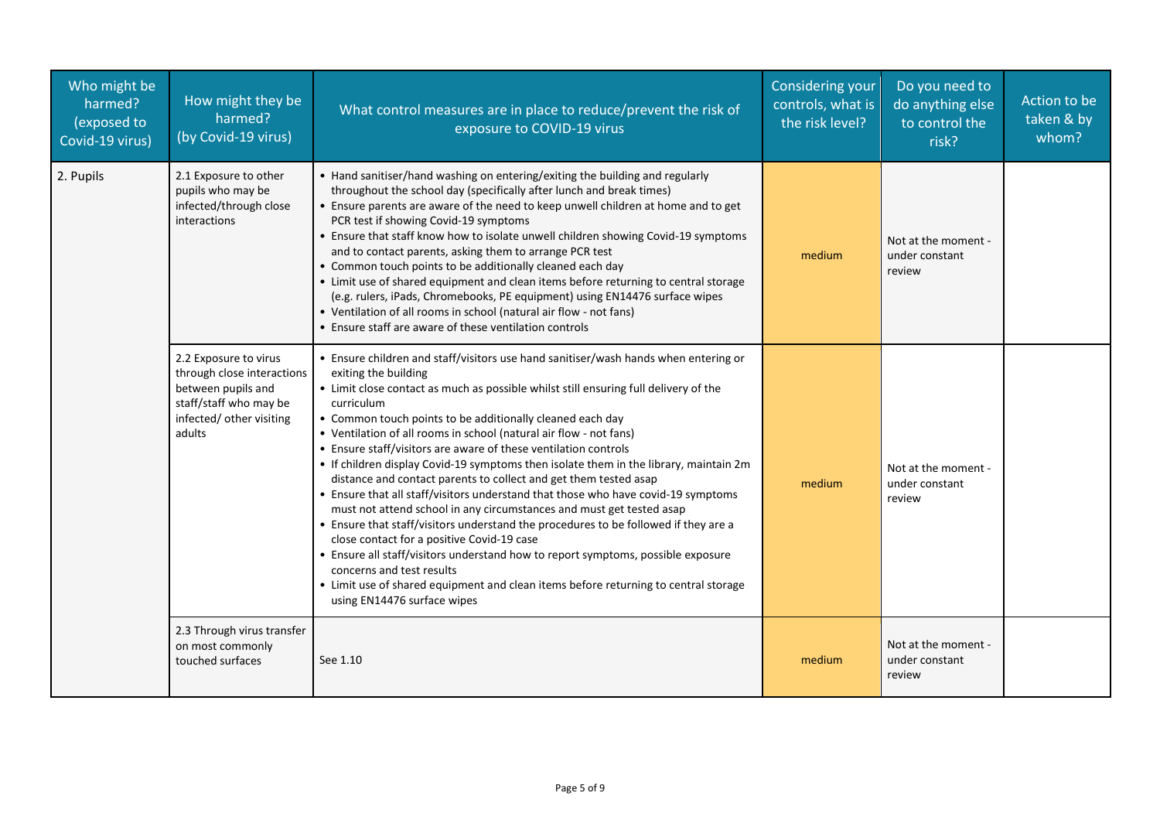| Who might be<br>harmed?<br>(exposed to<br>Covid-19 virus) | How might they be<br>harmed?<br>(by Covid-19 virus)                                                                                       | What control measures are in place to reduce/prevent the risk of<br>exposure to COVID-19 virus                                                                                                                                                                                                                                                                                                                                                                                                                                                                                                                                                                                                                                                                                                                                                                                                                                                                                                                                                                                                                                | <b>Considering your</b><br>controls, what is<br>the risk level? | Do you need to<br>do anything else<br>to control the<br>risk? | Action to be<br>taken & by<br>whom? |
|-----------------------------------------------------------|-------------------------------------------------------------------------------------------------------------------------------------------|-------------------------------------------------------------------------------------------------------------------------------------------------------------------------------------------------------------------------------------------------------------------------------------------------------------------------------------------------------------------------------------------------------------------------------------------------------------------------------------------------------------------------------------------------------------------------------------------------------------------------------------------------------------------------------------------------------------------------------------------------------------------------------------------------------------------------------------------------------------------------------------------------------------------------------------------------------------------------------------------------------------------------------------------------------------------------------------------------------------------------------|-----------------------------------------------------------------|---------------------------------------------------------------|-------------------------------------|
| 2. Pupils                                                 | 2.1 Exposure to other<br>pupils who may be<br>infected/through close<br>interactions                                                      | • Hand sanitiser/hand washing on entering/exiting the building and regularly<br>throughout the school day (specifically after lunch and break times)<br>• Ensure parents are aware of the need to keep unwell children at home and to get<br>PCR test if showing Covid-19 symptoms<br>• Ensure that staff know how to isolate unwell children showing Covid-19 symptoms<br>and to contact parents, asking them to arrange PCR test<br>• Common touch points to be additionally cleaned each day<br>• Limit use of shared equipment and clean items before returning to central storage<br>(e.g. rulers, iPads, Chromebooks, PE equipment) using EN14476 surface wipes<br>• Ventilation of all rooms in school (natural air flow - not fans)<br>• Ensure staff are aware of these ventilation controls                                                                                                                                                                                                                                                                                                                         | medium                                                          | Not at the moment -<br>under constant<br>review               |                                     |
|                                                           | 2.2 Exposure to virus<br>through close interactions<br>between pupils and<br>staff/staff who may be<br>infected/ other visiting<br>adults | • Ensure children and staff/visitors use hand sanitiser/wash hands when entering or<br>exiting the building<br>• Limit close contact as much as possible whilst still ensuring full delivery of the<br>curriculum<br>• Common touch points to be additionally cleaned each day<br>• Ventilation of all rooms in school (natural air flow - not fans)<br>• Ensure staff/visitors are aware of these ventilation controls<br>• If children display Covid-19 symptoms then isolate them in the library, maintain 2m<br>distance and contact parents to collect and get them tested asap<br>• Ensure that all staff/visitors understand that those who have covid-19 symptoms<br>must not attend school in any circumstances and must get tested asap<br>• Ensure that staff/visitors understand the procedures to be followed if they are a<br>close contact for a positive Covid-19 case<br>• Ensure all staff/visitors understand how to report symptoms, possible exposure<br>concerns and test results<br>• Limit use of shared equipment and clean items before returning to central storage<br>using EN14476 surface wipes | medium                                                          | Not at the moment -<br>under constant<br>review               |                                     |
|                                                           | 2.3 Through virus transfer<br>on most commonly<br>touched surfaces                                                                        | See 1.10                                                                                                                                                                                                                                                                                                                                                                                                                                                                                                                                                                                                                                                                                                                                                                                                                                                                                                                                                                                                                                                                                                                      | medium                                                          | Not at the moment -<br>under constant<br>review               |                                     |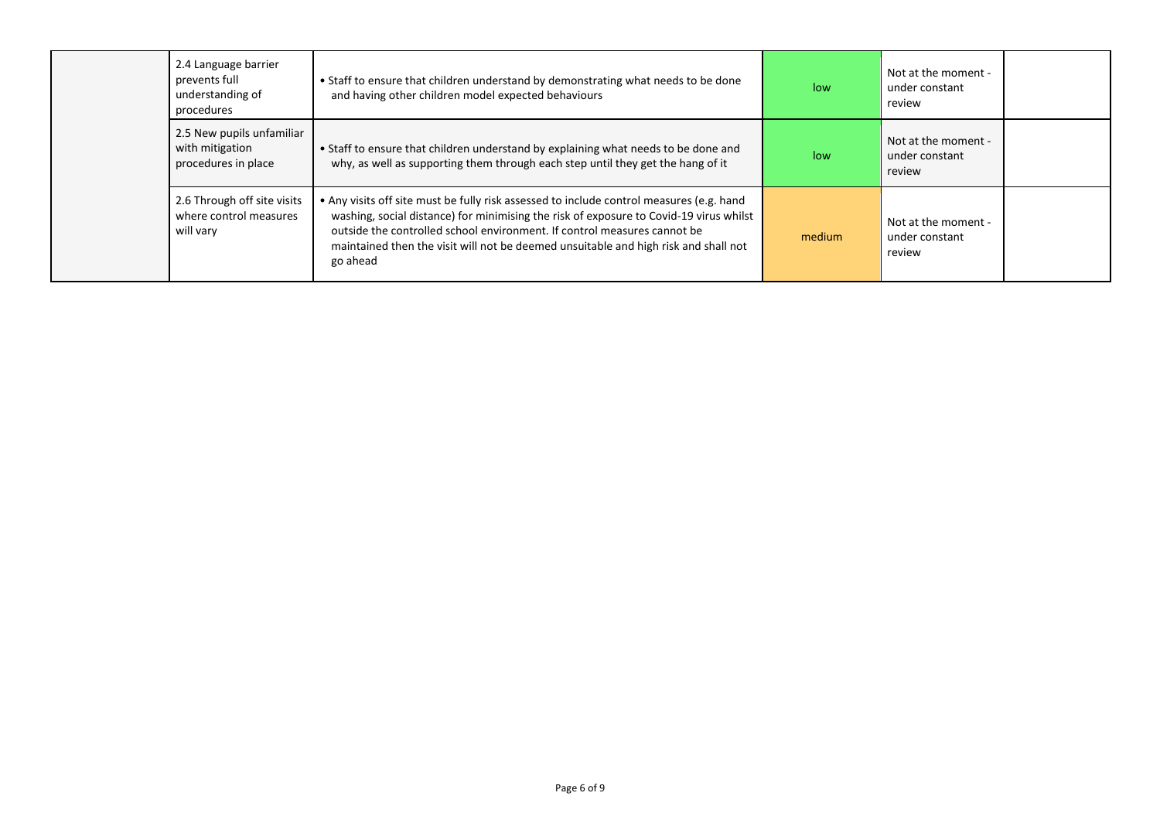| 2.4 Language barrier<br>prevents full<br>understanding of<br>procedures | . Staff to ensure that children understand by demonstrating what needs to be done<br>and having other children model expected behaviours                                                                                                                                                                                                                          | low    | Not at the moment -<br>under constant<br>review |
|-------------------------------------------------------------------------|-------------------------------------------------------------------------------------------------------------------------------------------------------------------------------------------------------------------------------------------------------------------------------------------------------------------------------------------------------------------|--------|-------------------------------------------------|
| 2.5 New pupils unfamiliar<br>with mitigation<br>procedures in place     | • Staff to ensure that children understand by explaining what needs to be done and<br>why, as well as supporting them through each step until they get the hang of it                                                                                                                                                                                             | low    | Not at the moment -<br>under constant<br>review |
| 2.6 Through off site visits<br>where control measures<br>will vary      | • Any visits off site must be fully risk assessed to include control measures (e.g. hand<br>washing, social distance) for minimising the risk of exposure to Covid-19 virus whilst<br>outside the controlled school environment. If control measures cannot be<br>maintained then the visit will not be deemed unsuitable and high risk and shall not<br>go ahead | medium | Not at the moment -<br>under constant<br>review |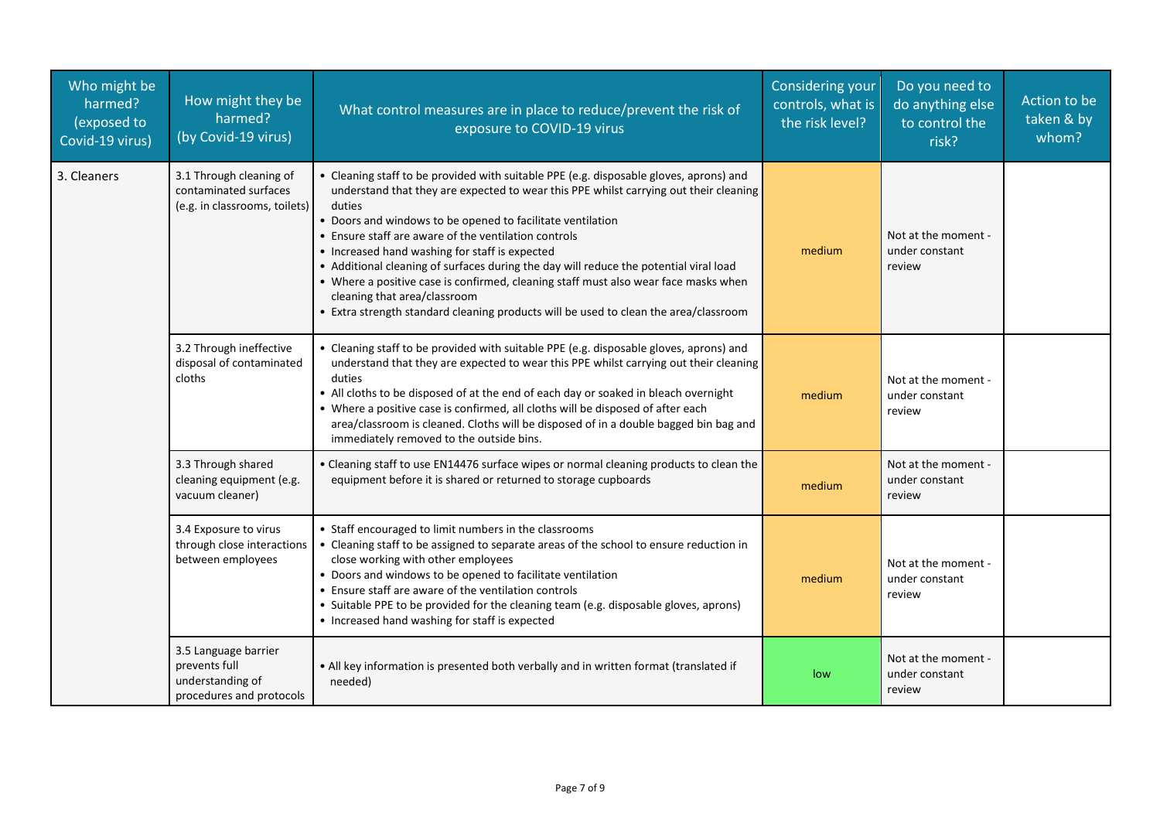| Who might be<br>harmed?<br>(exposed to<br>Covid-19 virus) | How might they be<br>harmed?<br>(by Covid-19 virus)                                   | What control measures are in place to reduce/prevent the risk of<br>exposure to COVID-19 virus                                                                                                                                                                                                                                                                                                                                                                                                                                                                                                                                                                            | <b>Considering your</b><br>controls, what is<br>the risk level? | Do you need to<br>do anything else<br>to control the<br>risk? | Action to be<br>taken & by<br>whom? |
|-----------------------------------------------------------|---------------------------------------------------------------------------------------|---------------------------------------------------------------------------------------------------------------------------------------------------------------------------------------------------------------------------------------------------------------------------------------------------------------------------------------------------------------------------------------------------------------------------------------------------------------------------------------------------------------------------------------------------------------------------------------------------------------------------------------------------------------------------|-----------------------------------------------------------------|---------------------------------------------------------------|-------------------------------------|
| 3. Cleaners                                               | 3.1 Through cleaning of<br>contaminated surfaces<br>(e.g. in classrooms, toilets)     | • Cleaning staff to be provided with suitable PPE (e.g. disposable gloves, aprons) and<br>understand that they are expected to wear this PPE whilst carrying out their cleaning<br>duties<br>• Doors and windows to be opened to facilitate ventilation<br>• Ensure staff are aware of the ventilation controls<br>• Increased hand washing for staff is expected<br>• Additional cleaning of surfaces during the day will reduce the potential viral load<br>• Where a positive case is confirmed, cleaning staff must also wear face masks when<br>cleaning that area/classroom<br>• Extra strength standard cleaning products will be used to clean the area/classroom | medium                                                          | Not at the moment -<br>under constant<br>review               |                                     |
|                                                           | 3.2 Through ineffective<br>disposal of contaminated<br>cloths                         | • Cleaning staff to be provided with suitable PPE (e.g. disposable gloves, aprons) and<br>understand that they are expected to wear this PPE whilst carrying out their cleaning<br>duties<br>• All cloths to be disposed of at the end of each day or soaked in bleach overnight<br>• Where a positive case is confirmed, all cloths will be disposed of after each<br>area/classroom is cleaned. Cloths will be disposed of in a double bagged bin bag and<br>immediately removed to the outside bins.                                                                                                                                                                   | medium                                                          | Not at the moment -<br>under constant<br>review               |                                     |
|                                                           | 3.3 Through shared<br>cleaning equipment (e.g.<br>vacuum cleaner)                     | • Cleaning staff to use EN14476 surface wipes or normal cleaning products to clean the<br>equipment before it is shared or returned to storage cupboards                                                                                                                                                                                                                                                                                                                                                                                                                                                                                                                  | medium                                                          | Not at the moment -<br>under constant<br>review               |                                     |
|                                                           | 3.4 Exposure to virus<br>through close interactions<br>between employees              | • Staff encouraged to limit numbers in the classrooms<br>• Cleaning staff to be assigned to separate areas of the school to ensure reduction in<br>close working with other employees<br>• Doors and windows to be opened to facilitate ventilation<br>• Ensure staff are aware of the ventilation controls<br>• Suitable PPE to be provided for the cleaning team (e.g. disposable gloves, aprons)<br>• Increased hand washing for staff is expected                                                                                                                                                                                                                     | medium                                                          | Not at the moment -<br>under constant<br>review               |                                     |
|                                                           | 3.5 Language barrier<br>prevents full<br>understanding of<br>procedures and protocols | • All key information is presented both verbally and in written format (translated if<br>needed)                                                                                                                                                                                                                                                                                                                                                                                                                                                                                                                                                                          | low                                                             | Not at the moment -<br>under constant<br>review               |                                     |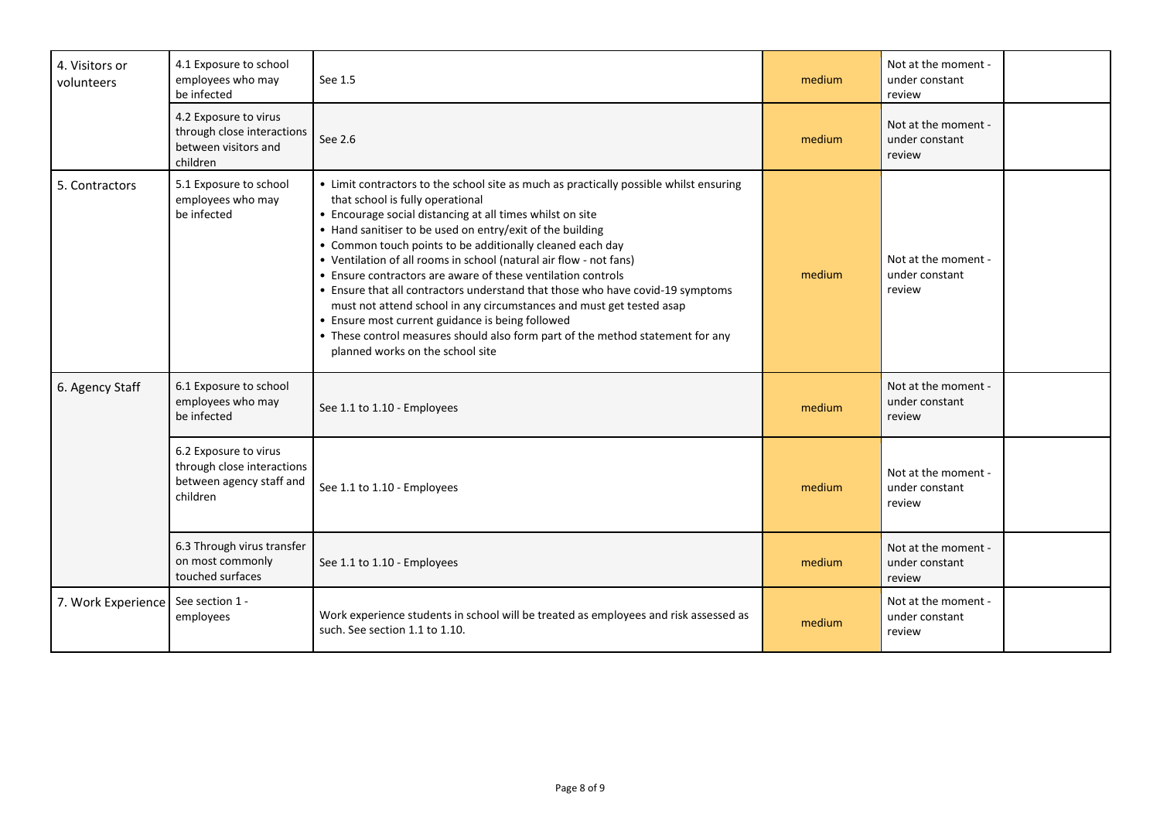| 4. Visitors or<br>volunteers | 4.1 Exposure to school<br>employees who may<br>be infected                                  | See 1.5                                                                                                                                                                                                                                                                                                                                                                                                                                                                                                                                                                                                                                                                                                                                                                                     | medium | Not at the moment -<br>under constant<br>review |  |
|------------------------------|---------------------------------------------------------------------------------------------|---------------------------------------------------------------------------------------------------------------------------------------------------------------------------------------------------------------------------------------------------------------------------------------------------------------------------------------------------------------------------------------------------------------------------------------------------------------------------------------------------------------------------------------------------------------------------------------------------------------------------------------------------------------------------------------------------------------------------------------------------------------------------------------------|--------|-------------------------------------------------|--|
|                              | 4.2 Exposure to virus<br>through close interactions<br>between visitors and<br>children     | See 2.6                                                                                                                                                                                                                                                                                                                                                                                                                                                                                                                                                                                                                                                                                                                                                                                     | medium | Not at the moment -<br>under constant<br>review |  |
| 5. Contractors               | 5.1 Exposure to school<br>employees who may<br>be infected                                  | • Limit contractors to the school site as much as practically possible whilst ensuring<br>that school is fully operational<br>• Encourage social distancing at all times whilst on site<br>• Hand sanitiser to be used on entry/exit of the building<br>• Common touch points to be additionally cleaned each day<br>• Ventilation of all rooms in school (natural air flow - not fans)<br>• Ensure contractors are aware of these ventilation controls<br>• Ensure that all contractors understand that those who have covid-19 symptoms<br>must not attend school in any circumstances and must get tested asap<br>• Ensure most current guidance is being followed<br>• These control measures should also form part of the method statement for any<br>planned works on the school site | medium | Not at the moment -<br>under constant<br>review |  |
| 6. Agency Staff              | 6.1 Exposure to school<br>employees who may<br>be infected                                  | See 1.1 to 1.10 - Employees                                                                                                                                                                                                                                                                                                                                                                                                                                                                                                                                                                                                                                                                                                                                                                 | medium | Not at the moment -<br>under constant<br>review |  |
|                              | 6.2 Exposure to virus<br>through close interactions<br>between agency staff and<br>children | See 1.1 to 1.10 - Employees                                                                                                                                                                                                                                                                                                                                                                                                                                                                                                                                                                                                                                                                                                                                                                 | medium | Not at the moment -<br>under constant<br>review |  |
|                              | 6.3 Through virus transfer<br>on most commonly<br>touched surfaces                          | See 1.1 to 1.10 - Employees                                                                                                                                                                                                                                                                                                                                                                                                                                                                                                                                                                                                                                                                                                                                                                 | medium | Not at the moment -<br>under constant<br>review |  |
| 7. Work Experience           | See section 1 -<br>employees                                                                | Work experience students in school will be treated as employees and risk assessed as<br>such. See section 1.1 to 1.10.                                                                                                                                                                                                                                                                                                                                                                                                                                                                                                                                                                                                                                                                      | medium | Not at the moment -<br>under constant<br>review |  |